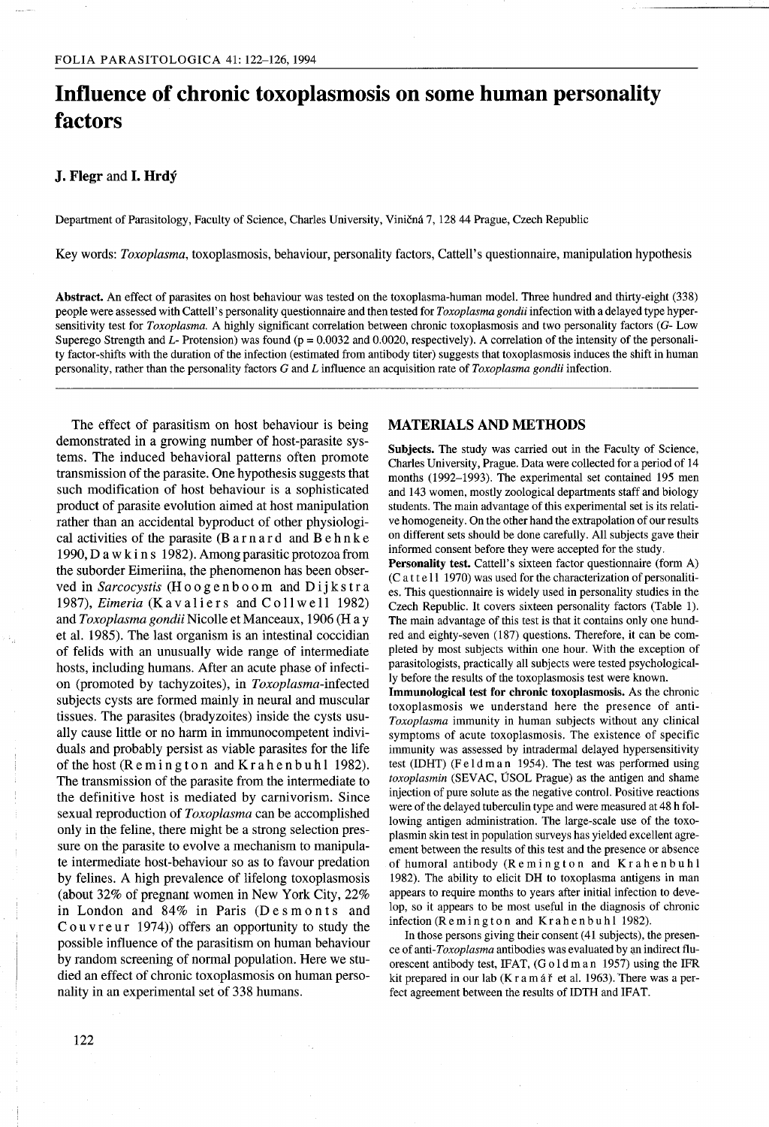# **Influence of chronic toxoplasmosis on some human personality factors**

## **J. Flegr** and **I. Hrdy**

Department of Parasitology, Faculty of Science, Charles University, Vinicna 7, 12844 Prague, Czech Republic

Key words: *Toxoplasma,* toxoplasmosis, behaviour, personality factors, Cattell's questionnaire, manipulation hypothesis

Abstract. An effect of parasites on host behaviour was tested on the toxoplasma-human model. Three hundred and thirty-eight (338) people were assessed with Cattell's personality questionnaire and then tested for *Toxoplasma gondii* infection with a delayed type hypersensitivity test for *Toxoplasma.* A highly significant correlation between chronic toxoplasmosis and two personality factors *(G-* Low Superego Strength and *L*- Protension) was found (p = 0.0032 and 0.0020, respectively). A correlation of the intensity of the personality factor-shifts with the duration of the infection (estimated from antibody titer) suggests that toxoplasmosis induces the shift in human personality, rather than the personality factors G and *L* influence an acquisition rate of *Toxoplasma gondii* infection.

The effect of parasitism on host behaviour is being demonstrated in a growing number of host-parasite systems. The induced behavioral patterns often promote transmission of the parasite. One hypothesis suggests that such modification of host behaviour is a sophisticated product of parasite evolution aimed at host manipulation rather than an accidental byproduct of other physiological activities of the parasite (B a rna r d and B e h n k e 1990, D a w kin s 1982). Among parasitic protozoa from the suborder Eimeriina, the phenomenon has been observed in *Sarcocystis* (H 0 0 g e n boo m and D i j k s t r a 1987), *Eimeria* (Kavaliers and Collwell 1982) and *Toxoplasma gondii* Nicolle et Manceaux, 1906 (H a y et al. 1985). The last organism is an intestinal coccidian of felids with an unusually wide range of intermediate hosts, including humans. After an acute phase of infection (promoted by tachyzoites), in *Toxoplasma-infected* subjects cysts are formed mainly in neural and muscular tissues. The parasites (bradyzoites) inside the cysts usually cause little or no harm in immunocompetent individuals and probably persist as viable parasites for the life of the host  $(R \text{ em in g to n and K rather than b u h1 1982}).$ The transmission of the parasite from the intermediate to the definitive host is mediated by carnivorism. Since sexual reproduction of *Toxoplasma* can be accomplished only in the feline, there might be a strong selection pressure on the parasite to evolve a mechanism to manipulate intermediate host-behaviour so as to favour predation by felines. A high prevalence of lifelong toxoplasmosis (about 32% of pregnant women in New York City, 22% in London and  $84\%$  in Paris (Desmonts and C o u v r e u r  $(1974)$ ) offers an opportunity to study the possible influence of the parasitism on human behaviour by random screening of normal population. Here we studied an effect of chronic toxoplasmosis on human personality in an experimental set of 338 humans.

### **MATERIALS AND METHODS**

Subjects. The study was carried out in the Faculty of Science, Charles University, Prague. Data were collected for a period of 14 months (1992-1993). The experimental set contained 195 men and 143 women, mostly zoological departments staff and biology students. The main advantage of this experimental set is its relative homogeneity. On the other hand the extrapolation of our results on different sets should be done carefully. All subjects gave their informed consent before they were accepted for the study.

Personality test. Cattell's sixteen factor questionnaire (form A) (C at tell 1970) was used for the characterization of personalities. This questionnaire is widely used in personality studies in the Czech Republic. It covers sixteen personality factors (Table 1). The main advantage of this test is that it contains only one hundred and eighty-seven (187) questions. Therefore, it can be completed by most subjects within one hour. With the exception of parasitologists, practically all subjects were tested psychologically before the results of the toxoplasmosis test were known.

Immunological test for chronic toxoplasmosis. As the chronic toxoplasmosis we understand here the presence of anti-*Toxoplasma* immunity in human subjects without any clinical symptoms of acute toxoplasmosis. The existence of specific immunity was assessed by intradermal delayed hypersensitivity test (lOHT) (F e 1d man 1954). The test was performed using *toxoplasmin* (SEVAC, ÚSOL Prague) as the antigen and shame injection of pure solute as the negative control. Positive reactions were of the delayed tuberculin type and were measured at 48 h following antigen administration. The large-scale use of the toxoplasmin skin test in population surveys has yielded excellent agreement between the results of this test and the presence or absence of humoral antibody (R e min g ton and K r a hen b u h 1 1982). The ability to elicit DH to toxoplasma antigens in man appears to require months to years after initial infection to develop, so it appears to be most useful in the diagnosis of chronic infection (Remington and Krahenbuhl 1982).

In those persons giving their consent (41 subjects), the presence of anti-*Toxoplasma* antibodies was evaluated by an indirect fluorescent antibody test, IFAT, (G old man 1957) using the IFR kit prepared in our lab (K r a m á ř et al. 1963). There was a perfect agreement between the results of lOTH and IFAT.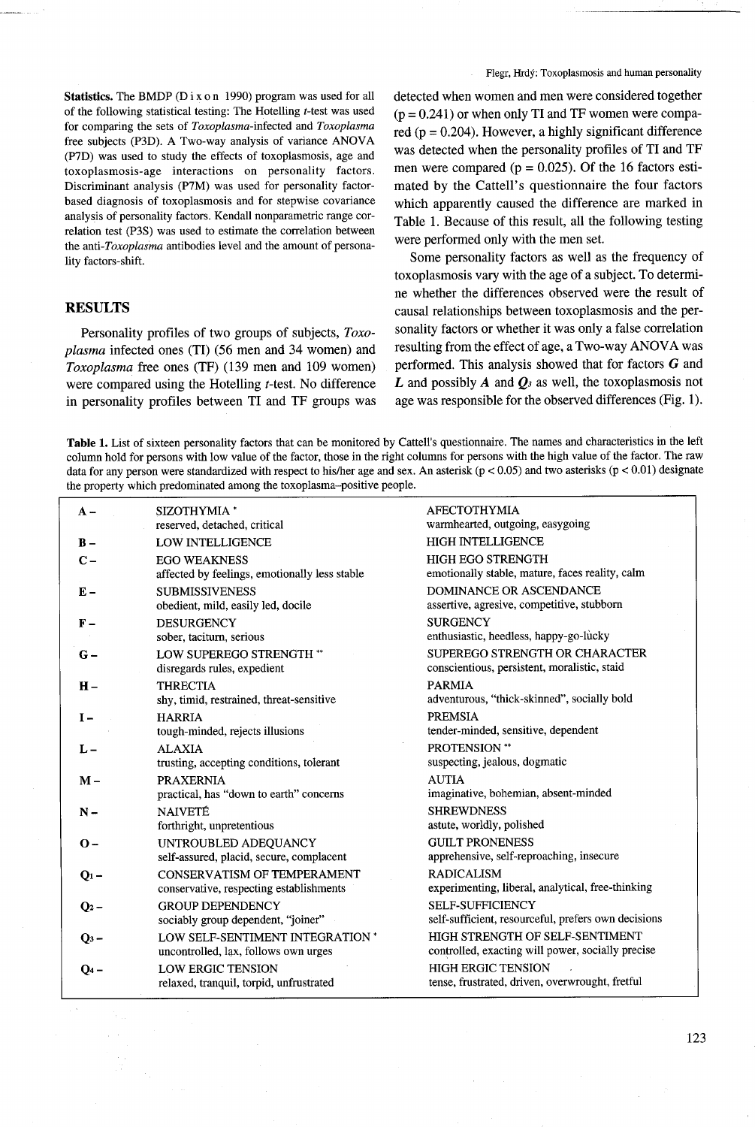Statistics. The BMDP (D i x o n 1990) program was used for all of the following statistical testing: The Hotelling *t-test* was used for comparing the sets of *Toxoplasma-infected* and *Toxoplasma* free subjects (P3D). A Two-way analysis of variance ANOVA (P7D) was used to study the effects of toxoplasmosis, age and toxoplasmosis-age interactions on personality factors. Discriminant analysis (P7M) was used for personality factorbased diagnosis of toxoplasmosis and for stepwise covariance analysis of personality factors. Kendall nonparametric range correlation test (P3S) was used to estimate the correlation between the *anti-Toxoplasma* antibodies level and the amount of personality factors-shift.

## RESULTS

Personality profiles of two groups of subjects, *Toxoplasma* infected ones (TI) (56 men and 34 women) and *Toxoplasma* free ones (TF) (139 men and 109 women) were compared using the Hotelling *t-test.* No difference in personality profiles between TI and TF groups was detected when women and men were considered together  $(p = 0.241)$  or when only TI and TF women were compared ( $p = 0.204$ ). However, a highly significant difference was detected when the personality profiles of TI and TF men were compared ( $p = 0.025$ ). Of the 16 factors estimated by the Cattell's questionnaire the four factors which apparently caused the difference are marked in Table 1. Because of this result, all the following testing were performed only with the men set.

Some personality factors as well as the frequency of toxoplasmosis vary with the age of a subject. To determine whether the differences observed were the result of causal relationships between toxoplasmosis and the personality factors or whether it was only a false correlation resulting from the effect of age, a Two-way ANOVA was performed. This analysis showed that for factors  $G$  and *L* and possibly *A* and *Q3* as well, the toxoplasmosis not age was responsible for the observed differences (Fig. 1).

Table 1. List of sixteen personality factors that can be monitored by Cattell's questionnaire. The names and characteristics in the left column hold for persons with low value of the factor, those in the right columns for persons with the high value of the factor. The raw data for any person were standardized with respect to his/her age and sex. An asterisk ( $p < 0.05$ ) and two asterisks ( $p < 0.01$ ) designate the property which predominated among the toxoplasma-positive people.

| $A -$          | SIZOTHYMIA <sup>*</sup><br>reserved, detached, critical                       | <b>AFECTOTHYMIA</b><br>warmhearted, outgoing, easygoing                              |
|----------------|-------------------------------------------------------------------------------|--------------------------------------------------------------------------------------|
| $B -$          | <b>LOW INTELLIGENCE</b>                                                       | <b>HIGH INTELLIGENCE</b>                                                             |
| $C -$          | <b>EGO WEAKNESS</b><br>affected by feelings, emotionally less stable          | <b>HIGH EGO STRENGTH</b><br>emotionally stable, mature, faces reality, calm          |
| $E -$          | <b>SUBMISSIVENESS</b><br>obedient, mild, easily led, docile                   | DOMINANCE OR ASCENDANCE<br>assertive, agresive, competitive, stubborn                |
| $\mathbf{F}-$  | <b>DESURGENCY</b><br>sober, taciturn, serious                                 | <b>SURGENCY</b><br>enthusiastic, heedless, happy-go-lucky                            |
| $G -$          | <b>LOW SUPEREGO STRENGTH **</b><br>disregards rules, expedient                | SUPEREGO STRENGTH OR CHARACTER<br>conscientious, persistent, moralistic, staid       |
| $H -$          | <b>THRECTIA</b><br>shy, timid, restrained, threat-sensitive                   | <b>PARMIA</b><br>adventurous, "thick-skinned", socially bold                         |
| $I -$          | <b>HARRIA</b><br>tough-minded, rejects illusions                              | <b>PREMSIA</b><br>tender-minded, sensitive, dependent                                |
| $L -$          | <b>ALAXIA</b><br>trusting, accepting conditions, tolerant                     | <b>PROTENSION</b> **<br>suspecting, jealous, dogmatic                                |
| $M -$          | <b>PRAXERNIA</b><br>practical, has "down to earth" concerns                   | <b>AUTIA</b><br>imaginative, bohemian, absent-minded                                 |
| $N -$          | <b>NAIVETÉ</b><br>forthright, unpretentious                                   | <b>SHREWDNESS</b><br>astute, worldly, polished                                       |
| $\mathbf{O}$ – | UNTROUBLED ADEQUANCY<br>self-assured, placid, secure, complacent              | <b>GUILT PRONENESS</b><br>apprehensive, self-reproaching, insecure                   |
| $Q_1 -$        | <b>CONSERVATISM OF TEMPERAMENT</b><br>conservative, respecting establishments | <b>RADICALISM</b><br>experimenting, liberal, analytical, free-thinking               |
| $Q_2$ –        | <b>GROUP DEPENDENCY</b><br>sociably group dependent, "joiner"                 | <b>SELF-SUFFICIENCY</b><br>self-sufficient, resourceful, prefers own decisions       |
| $Q_3$ –        | LOW SELF-SENTIMENT INTEGRATION *<br>uncontrolled, lax, follows own urges      | HIGH STRENGTH OF SELF-SENTIMENT<br>controlled, exacting will power, socially precise |
| $Q_4$ –        | <b>LOW ERGIC TENSION</b><br>relaxed, tranquil, torpid, unfrustrated           | <b>HIGH ERGIC TENSION</b><br>tense, frustrated, driven, overwrought, fretful         |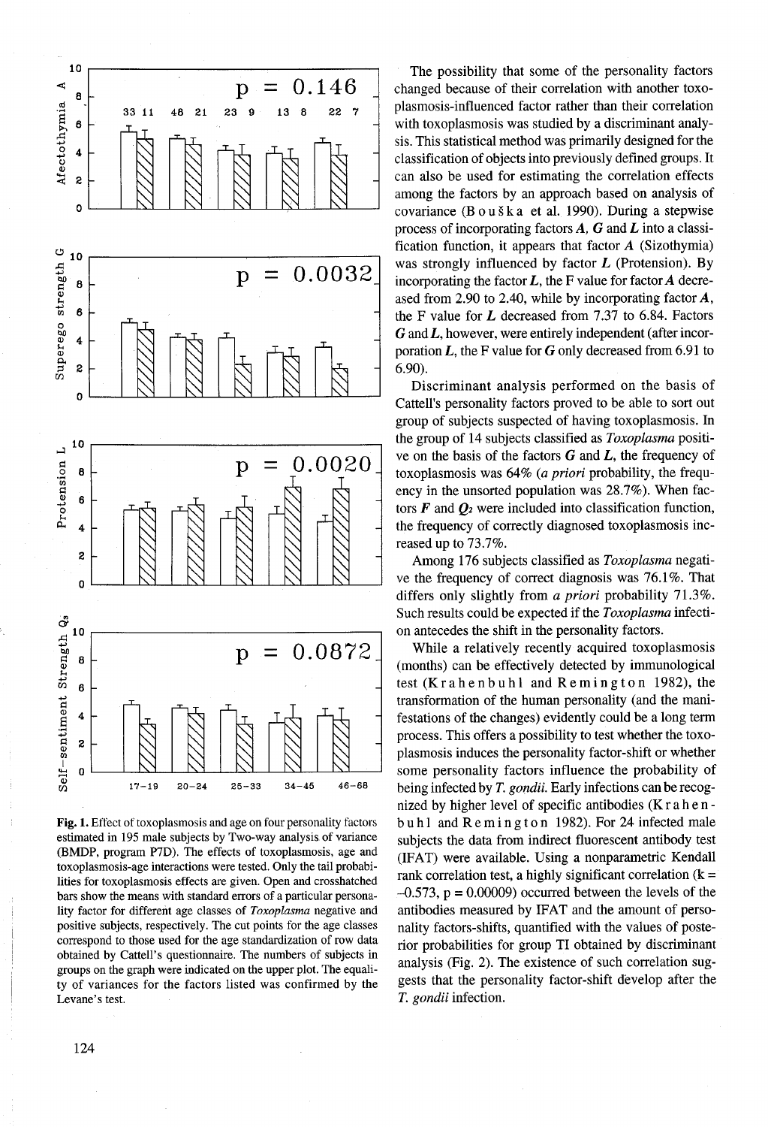

Fig. 1. Effect of toxoplasmosis and age on four personality factors estimated in 195 male subjects by Two-way analysis. of variance (BMDP, program P7D). The effects of toxoplasmosis, age and toxoplasmosis-age interactions were tested. Only the tail probabilities for toxoplasmosis effects are given. Open and crosshatched bars show the means with standard errors of a particular personality factor for different age classes of *Toxoplasma* negative and positive subjects, respectively. The cut points for the age classes correspond to those used for the age standardization of row data obtained by Cattell's questionnaire. The numbers of subjects in groups on the graph were indicated on the upper plot. The equality of variances for the factors listed was confirmed by the Levane's test.

changed because of their correlation with another toxoplasmosis-influenced factor rather than their correlation with toxoplasmosis was studied by a discriminant analysis. This statistical method was primarily designed for the classification of objects into previously defined groups. It can also be used for estimating the correlation effects among the factors by an approach based on analysis of covariance (B o u š k a et al. 1990). During a stepwise process of incorporating factors *A,* G and *L* into a classification function, it appears that factor  $A$  (Sizothymia) was strongly influenced by factor  $L$  (Protension). By incorporating the factor  $L$ , the F value for factor  $A$  decreased from 2.90 to 2.40, while by incorporating factor A, the F value for  $L$  decreased from 7.37 to 6.84. Factors  $G$  and  $L$ , however, were entirely independent (after incorporation  $L$ , the F value for  $G$  only decreased from 6.91 to 6.90).

Discriminant analysis performed on the basis of Cattell's personality factors proved to be able to sort out group of subjects suspected of having toxoplasmosis. In the group of 14 subjects classified as *Toxoplasma* positive on the basis of the factors  $G$  and  $L$ , the frequency of toxoplasmosis was 64% *(a priori* probability, the frequency in the unsorted population was 28.7%). When factors  $\vec{F}$  and  $\vec{Q}_2$  were included into classification function, the frequency of correctly diagnosed toxoplasmosis increased up to 73.7%.

Among 176 subjects classified as *Toxoplasma* negative the frequency of correct diagnosis was 76.1%. That differs only slightly from *a priori* probability 71.3%. Such results could be expected if the *Toxoplasma* infection antecedes the shift in the personality factors.

While a relatively recently acquired toxoplasmosis (months) can be effectively detected by immunological test (K r a h e n b u h  $l$  and R e m i n g t o n 1982), the transformation of the human personality (and the manifestations of the changes) evidently could be a long term process. This offers a possibility to test whether the toxoplasmosis induces the personality factor-shift or whether some personality factors influence the probability of being infected by *T. gondii.* Early infections can be recognized by higher level of specific antibodies (K r a hen buh 1 and  $R$  e m ing to n 1982). For 24 infected male subjects the data from indirect fluorescent antibody test (IFAT) were available. Using a nonparametric Kendall rank correlation test, a highly significant correlation  $(k =$  $-0.573$ ,  $p = 0.00009$ ) occurred between the levels of the antibodies measured by IFAT and the amount of personality factors-shifts, quantified with the values of posterior probabilities for group TI obtained by discriminant analysis (Fig. 2). The existence of such correlation suggests that the personality factor-shift develop after the T. *gondii* infection.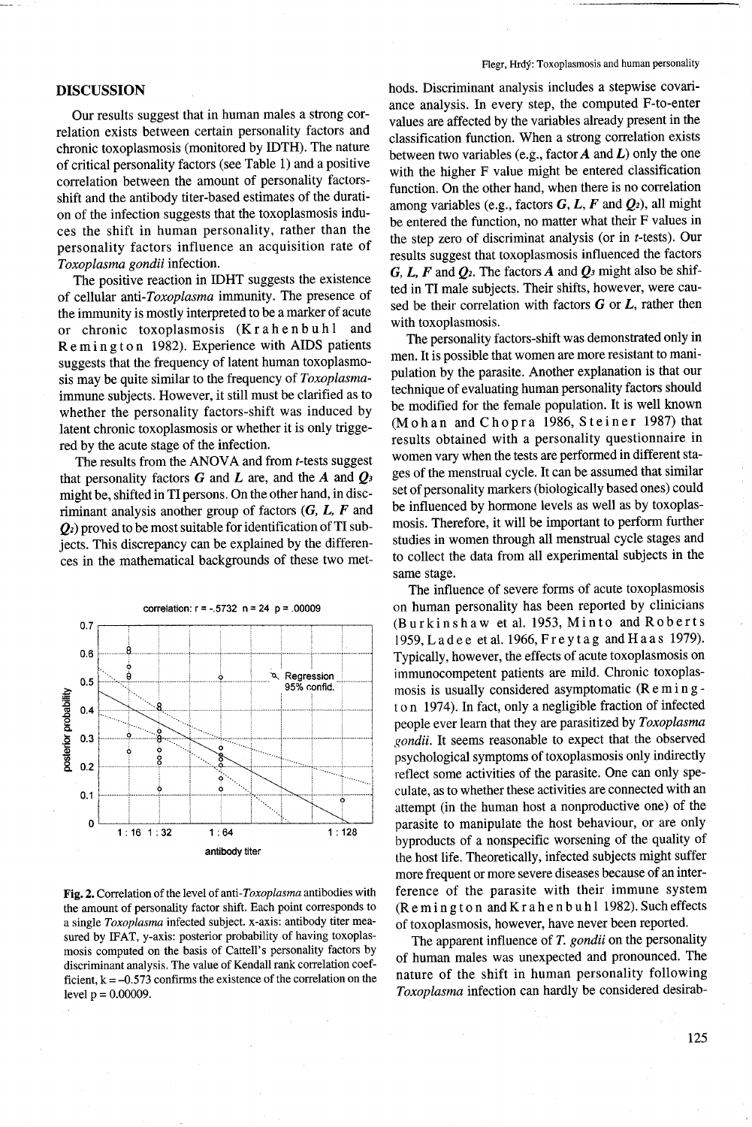#### **DISCUSSION**

Our results suggest that in human males a strong correlation exists between certain personality factors and chronic toxoplasmosis (monitored by IDTH). The nature of critical personality factors (see Table 1) and a positive correlation between the amount of personality factorsshift and the antibody titer-based estimates of the duration of the infection suggests that the toxoplasmosis induces the shift in human personality, rather than the personality factors influence an acquisition rate of *Toxoplasma gondii* infection.

The positive reaction in IDHT suggests the existence of cellular *anti-Toxoplasma* immunity. The presence of the immunity is mostly interpreted to be a marker of acute or chronic toxoplasmosis (Krahenbuhl and Rem in g ton 1982). Experience with AIDS patients suggests that the frequency of latent human toxoplasmosis may be quite similar to the frequency of *Toxoplasma*immune subjects. However, it still must be clarified as to whether the personality factors-shift was induced by latent chronic toxoplasmosis or whether it is only triggered by the acute stage of the infection.

The results from the ANOVA and from t-tests suggest that personality factors G and *L* are, and the *A* and *Q3* might be, shifted in TI persons. On the other hand, in discriminant analysis another group of factors  $(G, L, F)$  and  $Q_2$ ) proved to be most suitable for identification of TI subjects. This discrepancy can be explained by the differences in the mathematical backgrounds of these two met-



Fig. 2. Correlation ofthe level of *anti-Toxoplasma* antibodies with the amount of personality factor shift. Each point corresponds to a single *Toxoplasma* infected subject. x-axis: antibody titer measured by IFAT, y-axis: posterior probability of having toxoplasmosis computed on the basis of Cattell's personality factors by discriminant analysis. The value of Kendall rank correlation coefficient,  $k = -0.573$  confirms the existence of the correlation on the level  $p = 0.00009$ .

#### Flegr, Hrdy: Toxoplasmosis and human personality

hods. Discriminant analysis includes a stepwise covariance analysis. In every step, the computed F-to-enter values are affected by the variables already present in the classification function. When a strong correlation exists between two variables (e.g., factor *A* and *L)* only the one with the higher F value might be entered classification function. On the other hand, when there is no correlation among variables (e.g., factors G, *L, F* and *Q2),* all might be entered the function, no matter what their F values in the step zero of discriminat analysis (or in t-tests). Our results suggest that toxoplasmosis influenced the factors  $G, L, F$  and  $Q_2$ . The factors A and  $Q_3$  might also be shifted in TI male subjects. Their shifts, however, were caused be their correlation with factors  $G$  or  $L$ , rather then with toxoplasmosis.

The personality factors-shift was demonstrated only in men. It is possible that women are more resistant to manipulation by the parasite. Another explanation is that our technique of evaluating human personality factors should be modified for the female population. It is well known (Mohan and Chopra 1986, Steiner 1987) that results obtained with a personality questionnaire in women vary when the tests are performed in different stages of the menstrual cycle. It can be assumed that similar set of personality markers (biologically based ones) could be influenced by hormone levels as well as by toxoplasmosis. Therefore, it will be important to perform further studies in women through all menstrual cycle stages and to collect the data from all experimental subjects in the same stage.

The influence of severe forms of acute toxoplasmosis on human personality has been reported by clinicians (Burkinshaw et al. 1953, Minto and Roberts 1959,Ladee etal.1966,Freytag andHaas 1979). Typically, however, the effects of acute toxoplasmosis on immunocompetent patients are mild. Chronic toxoplasmosis is usually considered asymptomatic (R e min g ton 1974). In fact, only a negligible fraction of infected people ever learn that they are parasitized by *Toxoplasma gondii.* It seems reasonable to expect that the observed psychological symptoms of toxoplasmosis only indirectly reflect some activities of the parasite. One can only speculate, as to whether these activities are connected with an attempt (in the human host a nonproductive one) of the parasite to manipulate the host behaviour, or are only byproducts of a nonspecific worsening of the quality of the host life. Theoretically, infected subjects might suffer more frequent or more severe diseases because of an interference of the parasite with their immune system (Remington and Krahenbuhl 1982). Such effects of toxoplasmosis, however, have never been reported.

The apparent influence of *T. gondii* on the personality of human males was unexpected and pronounced. The nature of the shift in human personality following *Toxoplasma* infection can hardly be considered desirab-